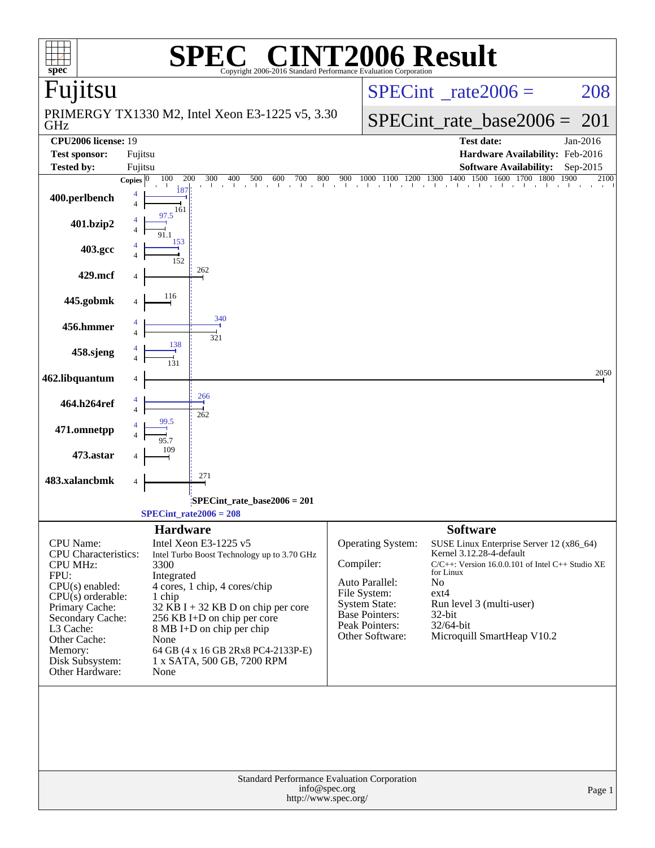| $spec^{\circ}$                                  | $\mathbb{C}^{\scriptscriptstyle \otimes}$ CINT2006 Result<br>Copyright 2006-2016 Standard Performance Evaluation Corporation |                                      |                                                                      |  |  |  |  |  |
|-------------------------------------------------|------------------------------------------------------------------------------------------------------------------------------|--------------------------------------|----------------------------------------------------------------------|--|--|--|--|--|
| Fujitsu                                         |                                                                                                                              |                                      | $SPECint^{\circ}$ rate 2006 =<br>208                                 |  |  |  |  |  |
| GHz                                             | PRIMERGY TX1330 M2, Intel Xeon E3-1225 v5, 3.30                                                                              |                                      | $SPECint$ rate base2006 =<br>201                                     |  |  |  |  |  |
| <b>CPU2006</b> license: 19                      |                                                                                                                              |                                      | <b>Test date:</b><br>Jan-2016                                        |  |  |  |  |  |
| Fujitsu<br><b>Test sponsor:</b>                 |                                                                                                                              |                                      | Hardware Availability: Feb-2016<br><b>Software Availability:</b>     |  |  |  |  |  |
| <b>Tested by:</b><br>Fujitsu                    | Copies $\overline{0 \quad 100}$<br>200<br>300                                                                                |                                      | Sep-2015<br>2100                                                     |  |  |  |  |  |
| 400.perlbench<br>4                              | $18^{\circ}$<br>161                                                                                                          |                                      |                                                                      |  |  |  |  |  |
| 401.bzip2                                       | 97.5                                                                                                                         |                                      |                                                                      |  |  |  |  |  |
| 403.gcc                                         | 153<br>152                                                                                                                   |                                      |                                                                      |  |  |  |  |  |
| 429.mcf                                         | 262                                                                                                                          |                                      |                                                                      |  |  |  |  |  |
| 445.gobmk                                       | 116                                                                                                                          |                                      |                                                                      |  |  |  |  |  |
| 456.hmmer                                       | 340<br>321                                                                                                                   |                                      |                                                                      |  |  |  |  |  |
| 458.sjeng                                       | 138                                                                                                                          |                                      |                                                                      |  |  |  |  |  |
| 462.libquantum                                  |                                                                                                                              |                                      | 2050                                                                 |  |  |  |  |  |
| 464.h264ref                                     | 266<br>262                                                                                                                   |                                      |                                                                      |  |  |  |  |  |
| 471.omnetpp                                     |                                                                                                                              |                                      |                                                                      |  |  |  |  |  |
| 473.astar                                       | 271                                                                                                                          |                                      |                                                                      |  |  |  |  |  |
| 483.xalancbmk<br>4                              |                                                                                                                              |                                      |                                                                      |  |  |  |  |  |
|                                                 | $SPECint$ rate_base2006 = 201<br>$SPECint_rate2006 = 208$                                                                    |                                      |                                                                      |  |  |  |  |  |
|                                                 | <b>Hardware</b>                                                                                                              |                                      | <b>Software</b>                                                      |  |  |  |  |  |
| <b>CPU</b> Name:<br><b>CPU</b> Characteristics: | Intel Xeon E3-1225 v5<br>Intel Turbo Boost Technology up to 3.70 GHz                                                         | Operating System:                    | SUSE Linux Enterprise Server 12 (x86_64)<br>Kernel 3.12.28-4-default |  |  |  |  |  |
| <b>CPU MHz:</b>                                 | 3300                                                                                                                         | Compiler:                            | $C/C++$ : Version 16.0.0.101 of Intel $C++$ Studio XE<br>for Linux   |  |  |  |  |  |
| FPU:<br>$CPU(s)$ enabled:                       | Integrated<br>4 cores, 1 chip, 4 cores/chip                                                                                  | Auto Parallel:                       | No                                                                   |  |  |  |  |  |
| $CPU(s)$ orderable:                             | 1 chip                                                                                                                       | File System:<br><b>System State:</b> | $ext{4}$<br>Run level 3 (multi-user)                                 |  |  |  |  |  |
| Primary Cache:<br>Secondary Cache:              | $32$ KB I + 32 KB D on chip per core<br>256 KB I+D on chip per core                                                          | <b>Base Pointers:</b>                | 32-bit                                                               |  |  |  |  |  |
| L3 Cache:                                       | 8 MB I+D on chip per chip                                                                                                    | Peak Pointers:<br>Other Software:    | 32/64-bit<br>Microquill SmartHeap V10.2                              |  |  |  |  |  |
| Other Cache:<br>Memory:                         | None<br>64 GB (4 x 16 GB 2Rx8 PC4-2133P-E)                                                                                   |                                      |                                                                      |  |  |  |  |  |
| Disk Subsystem:<br>Other Hardware:              | 1 x SATA, 500 GB, 7200 RPM<br>None                                                                                           |                                      |                                                                      |  |  |  |  |  |
|                                                 |                                                                                                                              |                                      |                                                                      |  |  |  |  |  |
|                                                 | Standard Performance Evaluation Corporation<br>info@spec.org<br>http://www.spec.org/                                         |                                      | Page 1                                                               |  |  |  |  |  |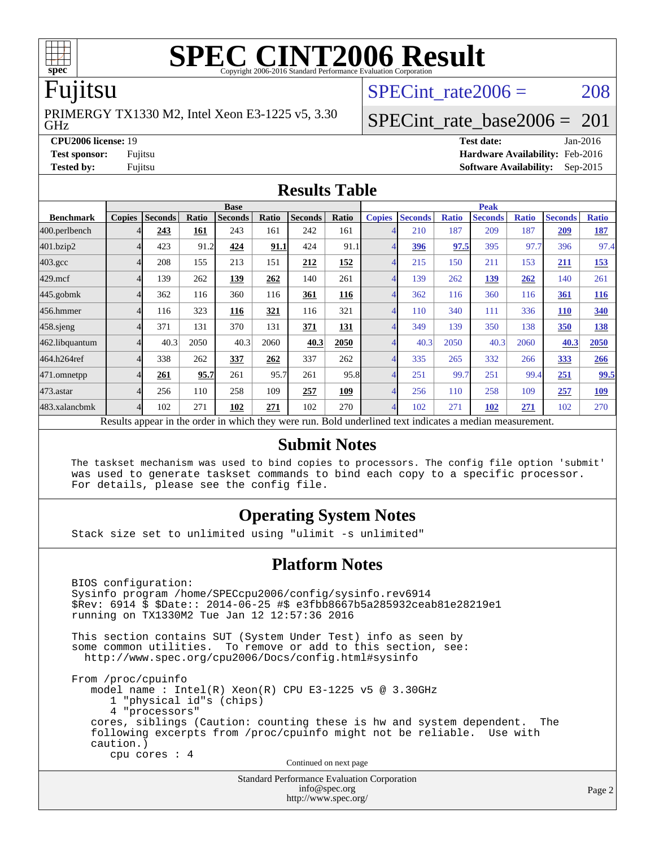

# **[SPEC CINT2006 Result](http://www.spec.org/auto/cpu2006/Docs/result-fields.html#SPECCINT2006Result)**

### Fujitsu

GHz PRIMERGY TX1330 M2, Intel Xeon E3-1225 v5, 3.30 SPECint rate $2006 = 208$ 

### [SPECint\\_rate\\_base2006 =](http://www.spec.org/auto/cpu2006/Docs/result-fields.html#SPECintratebase2006) 201

**[CPU2006 license:](http://www.spec.org/auto/cpu2006/Docs/result-fields.html#CPU2006license)** 19 **[Test date:](http://www.spec.org/auto/cpu2006/Docs/result-fields.html#Testdate)** Jan-2016 **[Test sponsor:](http://www.spec.org/auto/cpu2006/Docs/result-fields.html#Testsponsor)** Fujitsu **[Hardware Availability:](http://www.spec.org/auto/cpu2006/Docs/result-fields.html#HardwareAvailability)** Feb-2016 **[Tested by:](http://www.spec.org/auto/cpu2006/Docs/result-fields.html#Testedby)** Fujitsu **[Software Availability:](http://www.spec.org/auto/cpu2006/Docs/result-fields.html#SoftwareAvailability)** Sep-2015

### **[Results Table](http://www.spec.org/auto/cpu2006/Docs/result-fields.html#ResultsTable)**

|                                                                                                          | <b>Base</b>   |                |       |                |       |                | <b>Peak</b> |                |                |              |                |              |                |              |
|----------------------------------------------------------------------------------------------------------|---------------|----------------|-------|----------------|-------|----------------|-------------|----------------|----------------|--------------|----------------|--------------|----------------|--------------|
| <b>Benchmark</b>                                                                                         | <b>Copies</b> | <b>Seconds</b> | Ratio | <b>Seconds</b> | Ratio | <b>Seconds</b> | Ratio       | <b>Copies</b>  | <b>Seconds</b> | <b>Ratio</b> | <b>Seconds</b> | <b>Ratio</b> | <b>Seconds</b> | <b>Ratio</b> |
| 400.perlbench                                                                                            | 4             | 243            | 161   | 243            | 161   | 242            | 161         |                | 210            | 187          | 209            | 187          | 209            | <u>187</u>   |
| 401.bzip2                                                                                                | 4             | 423            | 91.2  | 424            | 91.1  | 424            | 91.1        | $\overline{4}$ | <u>396</u>     | 97.5         | 395            | 97.7         | 396            | 97.4         |
| $403.\mathrm{gcc}$                                                                                       | 4             | 208            | 155   | 213            | 151   | 212            | 152         | $\overline{4}$ | 215            | 150          | 211            | 153          | 211            | <u>153</u>   |
| $429$ .mcf                                                                                               | 4             | 139            | 262   | 139            | 262   | 140            | 261         | $\overline{4}$ | 139            | 262          | 139            | 262          | 140            | 261          |
| $445$ .gobm $k$                                                                                          | 4             | 362            | 116   | 360            | 116   | 361            | 116         | $\overline{4}$ | 362            | 116          | 360            | 116          | 361            | <b>116</b>   |
| 456.hmmer                                                                                                | 4             | 116            | 323   | 116            | 321   | 116            | 321         | $\overline{4}$ | 110            | 340          | 111            | 336          | <b>110</b>     | 340          |
| $458$ .sjeng                                                                                             | 4             | 371            | 131   | 370            | 131   | 371            | 131         |                | 349            | 139          | 350            | 138          | 350            | 138          |
| 462.libquantum                                                                                           | 4             | 40.3           | 2050  | 40.3           | 2060  | 40.3           | 2050        |                | 40.3           | 2050         | 40.3           | 2060         | 40.3           | 2050         |
| 464.h264ref                                                                                              | 4             | 338            | 262   | 337            | 262   | 337            | 262         | $\overline{4}$ | 335            | 265          | 332            | 266          | 333            | 266          |
| 471.omnetpp                                                                                              | 4             | 261            | 95.7  | 261            | 95.7  | 261            | 95.8        |                | 251            | 99.7         | 251            | 99.4         | 251            | 99.5         |
| $473$ . astar                                                                                            | 4             | 256            | 110   | 258            | 109   | 257            | 109         | $\overline{4}$ | 256            | 110          | 258            | 109          | 257            | <u>109</u>   |
| 483.xalancbmk                                                                                            | 4             | 102            | 271   | 102            | 271   | 102            | 270         | $\overline{4}$ | 102            | 271          | 102            | 271          | 102            | 270          |
| Results appear in the order in which they were run. Bold underlined text indicates a median measurement. |               |                |       |                |       |                |             |                |                |              |                |              |                |              |

### **[Submit Notes](http://www.spec.org/auto/cpu2006/Docs/result-fields.html#SubmitNotes)**

 The taskset mechanism was used to bind copies to processors. The config file option 'submit' was used to generate taskset commands to bind each copy to a specific processor. For details, please see the config file.

### **[Operating System Notes](http://www.spec.org/auto/cpu2006/Docs/result-fields.html#OperatingSystemNotes)**

Stack size set to unlimited using "ulimit -s unlimited"

### **[Platform Notes](http://www.spec.org/auto/cpu2006/Docs/result-fields.html#PlatformNotes)**

Standard Performance Evaluation Corporation BIOS configuration: Sysinfo program /home/SPECcpu2006/config/sysinfo.rev6914 \$Rev: 6914 \$ \$Date:: 2014-06-25 #\$ e3fbb8667b5a285932ceab81e28219e1 running on TX1330M2 Tue Jan 12 12:57:36 2016 This section contains SUT (System Under Test) info as seen by some common utilities. To remove or add to this section, see: <http://www.spec.org/cpu2006/Docs/config.html#sysinfo> From /proc/cpuinfo model name : Intel(R) Xeon(R) CPU E3-1225 v5 @ 3.30GHz 1 "physical id"s (chips) 4 "processors" cores, siblings (Caution: counting these is hw and system dependent. The following excerpts from /proc/cpuinfo might not be reliable. Use with caution.) cpu cores : 4 Continued on next page

> [info@spec.org](mailto:info@spec.org) <http://www.spec.org/>

Page 2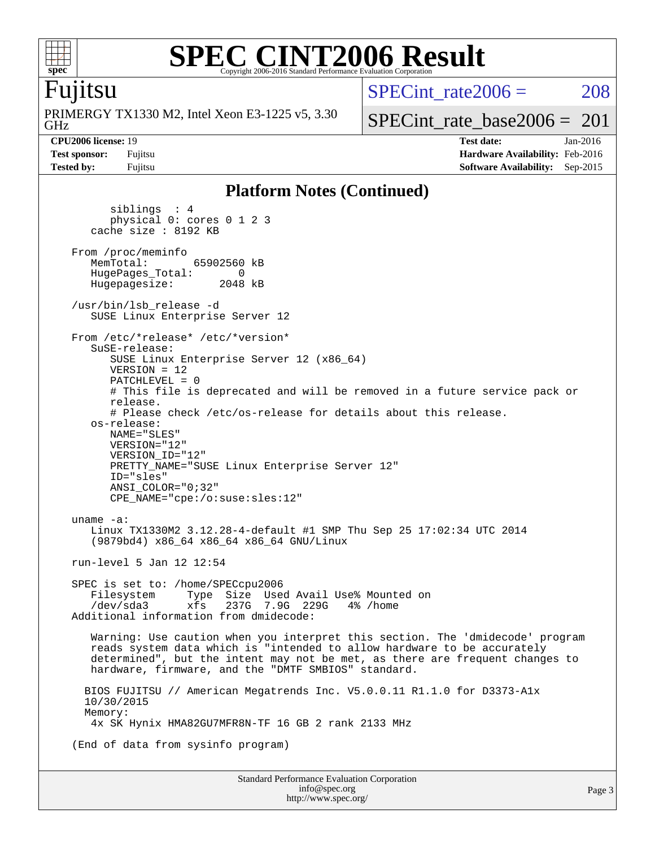

### **[SPEC CINT2006 Result](http://www.spec.org/auto/cpu2006/Docs/result-fields.html#SPECCINT2006Result)** Copyright 2006-2016 Standard Performance Evaluation Corporation

### Fujitsu

GHz PRIMERGY TX1330 M2, Intel Xeon E3-1225 v5, 3.30 SPECint rate $2006 = 208$ 

[SPECint\\_rate\\_base2006 =](http://www.spec.org/auto/cpu2006/Docs/result-fields.html#SPECintratebase2006)  $201$ 

**[CPU2006 license:](http://www.spec.org/auto/cpu2006/Docs/result-fields.html#CPU2006license)** 19 **[Test date:](http://www.spec.org/auto/cpu2006/Docs/result-fields.html#Testdate)** Jan-2016 **[Test sponsor:](http://www.spec.org/auto/cpu2006/Docs/result-fields.html#Testsponsor)** Fujitsu **[Hardware Availability:](http://www.spec.org/auto/cpu2006/Docs/result-fields.html#HardwareAvailability)** Feb-2016 **[Tested by:](http://www.spec.org/auto/cpu2006/Docs/result-fields.html#Testedby)** Fujitsu **[Software Availability:](http://www.spec.org/auto/cpu2006/Docs/result-fields.html#SoftwareAvailability)** Sep-2015

### **[Platform Notes \(Continued\)](http://www.spec.org/auto/cpu2006/Docs/result-fields.html#PlatformNotes)**

 siblings : 4 physical 0: cores 0 1 2 3 cache size : 8192 KB From /proc/meminfo<br>MemTotal: 65902560 kB HugePages\_Total: 0<br>Hugepagesize: 2048 kB Hugepagesize: /usr/bin/lsb\_release -d SUSE Linux Enterprise Server 12 From /etc/\*release\* /etc/\*version\* SuSE-release: SUSE Linux Enterprise Server 12 (x86\_64) VERSION = 12 PATCHLEVEL = 0 # This file is deprecated and will be removed in a future service pack or release. # Please check /etc/os-release for details about this release. os-release: NAME="SLES" VERSION="12" VERSION\_ID="12" PRETTY NAME="SUSE Linux Enterprise Server 12" ID="sles" ANSI\_COLOR="0;32" CPE\_NAME="cpe:/o:suse:sles:12" uname -a: Linux TX1330M2 3.12.28-4-default #1 SMP Thu Sep 25 17:02:34 UTC 2014 (9879bd4) x86\_64 x86\_64 x86\_64 GNU/Linux run-level 5 Jan 12 12:54 SPEC is set to: /home/SPECcpu2006 Filesystem Type Size Used Avail Use% Mounted on /dev/sda3 xfs 237G 7.9G 229G 4% /home Additional information from dmidecode: Warning: Use caution when you interpret this section. The 'dmidecode' program reads system data which is "intended to allow hardware to be accurately determined", but the intent may not be met, as there are frequent changes to hardware, firmware, and the "DMTF SMBIOS" standard. BIOS FUJITSU // American Megatrends Inc. V5.0.0.11 R1.1.0 for D3373-A1x 10/30/2015 Memory: 4x SK Hynix HMA82GU7MFR8N-TF 16 GB 2 rank 2133 MHz (End of data from sysinfo program)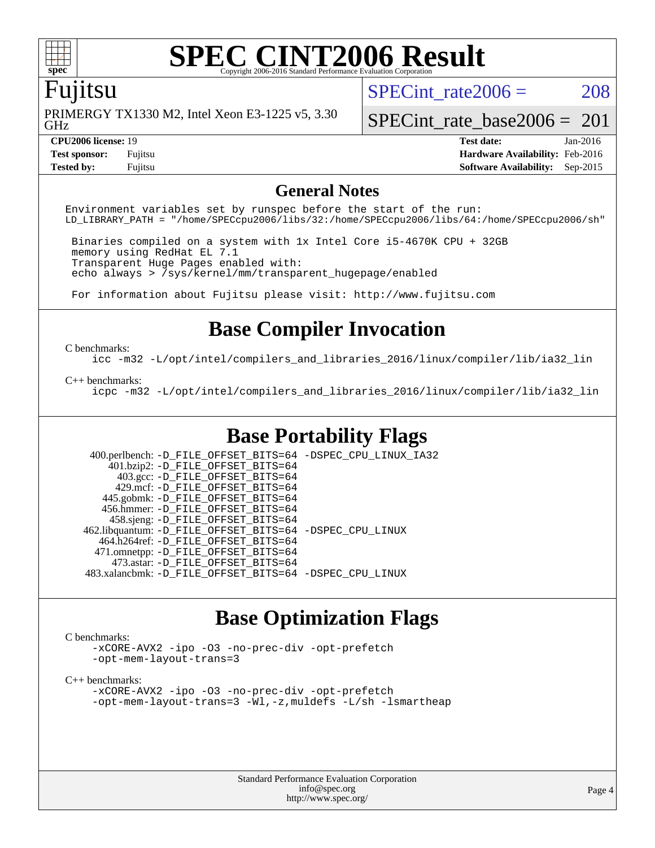

# **[SPEC CINT2006 Result](http://www.spec.org/auto/cpu2006/Docs/result-fields.html#SPECCINT2006Result)**

### Fujitsu

GHz PRIMERGY TX1330 M2, Intel Xeon E3-1225 v5, 3.30 SPECint rate $2006 = 208$ 

[SPECint\\_rate\\_base2006 =](http://www.spec.org/auto/cpu2006/Docs/result-fields.html#SPECintratebase2006)  $201$ 

**[Tested by:](http://www.spec.org/auto/cpu2006/Docs/result-fields.html#Testedby)** Fujitsu **[Software Availability:](http://www.spec.org/auto/cpu2006/Docs/result-fields.html#SoftwareAvailability)** Sep-2015

**[CPU2006 license:](http://www.spec.org/auto/cpu2006/Docs/result-fields.html#CPU2006license)** 19 **[Test date:](http://www.spec.org/auto/cpu2006/Docs/result-fields.html#Testdate)** Jan-2016 **[Test sponsor:](http://www.spec.org/auto/cpu2006/Docs/result-fields.html#Testsponsor)** Fujitsu **[Hardware Availability:](http://www.spec.org/auto/cpu2006/Docs/result-fields.html#HardwareAvailability)** Feb-2016

### **[General Notes](http://www.spec.org/auto/cpu2006/Docs/result-fields.html#GeneralNotes)**

Environment variables set by runspec before the start of the run: LD\_LIBRARY\_PATH = "/home/SPECcpu2006/libs/32:/home/SPECcpu2006/libs/64:/home/SPECcpu2006/sh"

 Binaries compiled on a system with 1x Intel Core i5-4670K CPU + 32GB memory using RedHat EL 7.1 Transparent Huge Pages enabled with: echo always > /sys/kernel/mm/transparent\_hugepage/enabled

For information about Fujitsu please visit: <http://www.fujitsu.com>

### **[Base Compiler Invocation](http://www.spec.org/auto/cpu2006/Docs/result-fields.html#BaseCompilerInvocation)**

### [C benchmarks](http://www.spec.org/auto/cpu2006/Docs/result-fields.html#Cbenchmarks):

[icc -m32 -L/opt/intel/compilers\\_and\\_libraries\\_2016/linux/compiler/lib/ia32\\_lin](http://www.spec.org/cpu2006/results/res2016q1/cpu2006-20160125-38915.flags.html#user_CCbase_intel_icc_e10256ba5924b668798078a321b0cb3f)

### [C++ benchmarks:](http://www.spec.org/auto/cpu2006/Docs/result-fields.html#CXXbenchmarks)

[icpc -m32 -L/opt/intel/compilers\\_and\\_libraries\\_2016/linux/compiler/lib/ia32\\_lin](http://www.spec.org/cpu2006/results/res2016q1/cpu2006-20160125-38915.flags.html#user_CXXbase_intel_icpc_b4f50a394bdb4597aa5879c16bc3f5c5)

### **[Base Portability Flags](http://www.spec.org/auto/cpu2006/Docs/result-fields.html#BasePortabilityFlags)**

 400.perlbench: [-D\\_FILE\\_OFFSET\\_BITS=64](http://www.spec.org/cpu2006/results/res2016q1/cpu2006-20160125-38915.flags.html#user_basePORTABILITY400_perlbench_file_offset_bits_64_438cf9856305ebd76870a2c6dc2689ab) [-DSPEC\\_CPU\\_LINUX\\_IA32](http://www.spec.org/cpu2006/results/res2016q1/cpu2006-20160125-38915.flags.html#b400.perlbench_baseCPORTABILITY_DSPEC_CPU_LINUX_IA32) 401.bzip2: [-D\\_FILE\\_OFFSET\\_BITS=64](http://www.spec.org/cpu2006/results/res2016q1/cpu2006-20160125-38915.flags.html#user_basePORTABILITY401_bzip2_file_offset_bits_64_438cf9856305ebd76870a2c6dc2689ab) 403.gcc: [-D\\_FILE\\_OFFSET\\_BITS=64](http://www.spec.org/cpu2006/results/res2016q1/cpu2006-20160125-38915.flags.html#user_basePORTABILITY403_gcc_file_offset_bits_64_438cf9856305ebd76870a2c6dc2689ab) 429.mcf: [-D\\_FILE\\_OFFSET\\_BITS=64](http://www.spec.org/cpu2006/results/res2016q1/cpu2006-20160125-38915.flags.html#user_basePORTABILITY429_mcf_file_offset_bits_64_438cf9856305ebd76870a2c6dc2689ab) 445.gobmk: [-D\\_FILE\\_OFFSET\\_BITS=64](http://www.spec.org/cpu2006/results/res2016q1/cpu2006-20160125-38915.flags.html#user_basePORTABILITY445_gobmk_file_offset_bits_64_438cf9856305ebd76870a2c6dc2689ab) 456.hmmer: [-D\\_FILE\\_OFFSET\\_BITS=64](http://www.spec.org/cpu2006/results/res2016q1/cpu2006-20160125-38915.flags.html#user_basePORTABILITY456_hmmer_file_offset_bits_64_438cf9856305ebd76870a2c6dc2689ab) 458.sjeng: [-D\\_FILE\\_OFFSET\\_BITS=64](http://www.spec.org/cpu2006/results/res2016q1/cpu2006-20160125-38915.flags.html#user_basePORTABILITY458_sjeng_file_offset_bits_64_438cf9856305ebd76870a2c6dc2689ab) 462.libquantum: [-D\\_FILE\\_OFFSET\\_BITS=64](http://www.spec.org/cpu2006/results/res2016q1/cpu2006-20160125-38915.flags.html#user_basePORTABILITY462_libquantum_file_offset_bits_64_438cf9856305ebd76870a2c6dc2689ab) [-DSPEC\\_CPU\\_LINUX](http://www.spec.org/cpu2006/results/res2016q1/cpu2006-20160125-38915.flags.html#b462.libquantum_baseCPORTABILITY_DSPEC_CPU_LINUX) 464.h264ref: [-D\\_FILE\\_OFFSET\\_BITS=64](http://www.spec.org/cpu2006/results/res2016q1/cpu2006-20160125-38915.flags.html#user_basePORTABILITY464_h264ref_file_offset_bits_64_438cf9856305ebd76870a2c6dc2689ab) 471.omnetpp: [-D\\_FILE\\_OFFSET\\_BITS=64](http://www.spec.org/cpu2006/results/res2016q1/cpu2006-20160125-38915.flags.html#user_basePORTABILITY471_omnetpp_file_offset_bits_64_438cf9856305ebd76870a2c6dc2689ab) 473.astar: [-D\\_FILE\\_OFFSET\\_BITS=64](http://www.spec.org/cpu2006/results/res2016q1/cpu2006-20160125-38915.flags.html#user_basePORTABILITY473_astar_file_offset_bits_64_438cf9856305ebd76870a2c6dc2689ab) 483.xalancbmk: [-D\\_FILE\\_OFFSET\\_BITS=64](http://www.spec.org/cpu2006/results/res2016q1/cpu2006-20160125-38915.flags.html#user_basePORTABILITY483_xalancbmk_file_offset_bits_64_438cf9856305ebd76870a2c6dc2689ab) [-DSPEC\\_CPU\\_LINUX](http://www.spec.org/cpu2006/results/res2016q1/cpu2006-20160125-38915.flags.html#b483.xalancbmk_baseCXXPORTABILITY_DSPEC_CPU_LINUX)

### **[Base Optimization Flags](http://www.spec.org/auto/cpu2006/Docs/result-fields.html#BaseOptimizationFlags)**

### [C benchmarks](http://www.spec.org/auto/cpu2006/Docs/result-fields.html#Cbenchmarks):

[-xCORE-AVX2](http://www.spec.org/cpu2006/results/res2016q1/cpu2006-20160125-38915.flags.html#user_CCbase_f-xAVX2_5f5fc0cbe2c9f62c816d3e45806c70d7) [-ipo](http://www.spec.org/cpu2006/results/res2016q1/cpu2006-20160125-38915.flags.html#user_CCbase_f-ipo) [-O3](http://www.spec.org/cpu2006/results/res2016q1/cpu2006-20160125-38915.flags.html#user_CCbase_f-O3) [-no-prec-div](http://www.spec.org/cpu2006/results/res2016q1/cpu2006-20160125-38915.flags.html#user_CCbase_f-no-prec-div) [-opt-prefetch](http://www.spec.org/cpu2006/results/res2016q1/cpu2006-20160125-38915.flags.html#user_CCbase_f-opt-prefetch) [-opt-mem-layout-trans=3](http://www.spec.org/cpu2006/results/res2016q1/cpu2006-20160125-38915.flags.html#user_CCbase_f-opt-mem-layout-trans_a7b82ad4bd7abf52556d4961a2ae94d5)

### [C++ benchmarks:](http://www.spec.org/auto/cpu2006/Docs/result-fields.html#CXXbenchmarks)

[-xCORE-AVX2](http://www.spec.org/cpu2006/results/res2016q1/cpu2006-20160125-38915.flags.html#user_CXXbase_f-xAVX2_5f5fc0cbe2c9f62c816d3e45806c70d7) [-ipo](http://www.spec.org/cpu2006/results/res2016q1/cpu2006-20160125-38915.flags.html#user_CXXbase_f-ipo) [-O3](http://www.spec.org/cpu2006/results/res2016q1/cpu2006-20160125-38915.flags.html#user_CXXbase_f-O3) [-no-prec-div](http://www.spec.org/cpu2006/results/res2016q1/cpu2006-20160125-38915.flags.html#user_CXXbase_f-no-prec-div) [-opt-prefetch](http://www.spec.org/cpu2006/results/res2016q1/cpu2006-20160125-38915.flags.html#user_CXXbase_f-opt-prefetch) [-opt-mem-layout-trans=3](http://www.spec.org/cpu2006/results/res2016q1/cpu2006-20160125-38915.flags.html#user_CXXbase_f-opt-mem-layout-trans_a7b82ad4bd7abf52556d4961a2ae94d5) [-Wl,-z,muldefs](http://www.spec.org/cpu2006/results/res2016q1/cpu2006-20160125-38915.flags.html#user_CXXbase_link_force_multiple1_74079c344b956b9658436fd1b6dd3a8a) [-L/sh -lsmartheap](http://www.spec.org/cpu2006/results/res2016q1/cpu2006-20160125-38915.flags.html#user_CXXbase_SmartHeap_32f6c82aa1ed9c52345d30cf6e4a0499)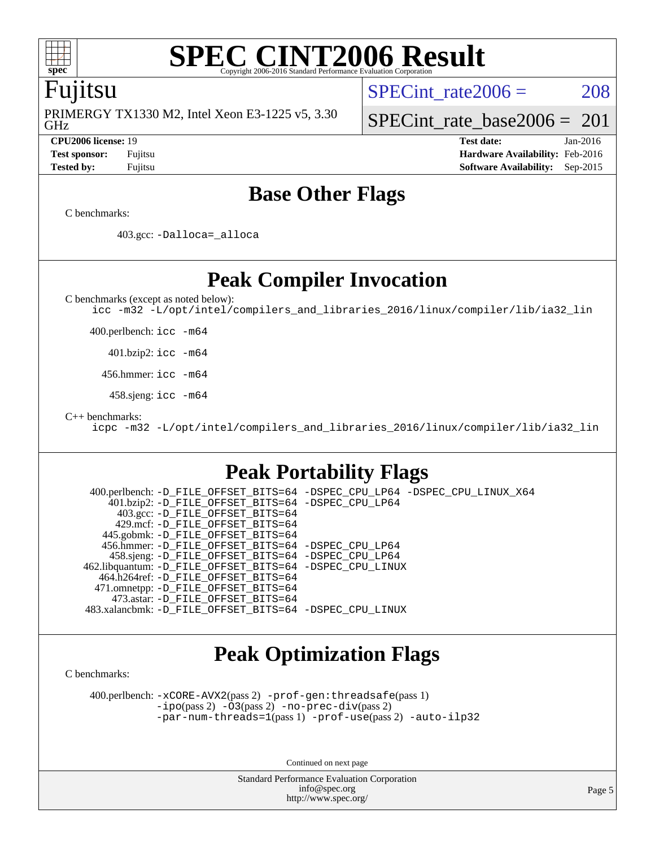

### **[SPEC CINT2006 Result](http://www.spec.org/auto/cpu2006/Docs/result-fields.html#SPECCINT2006Result)** Copyright 2006-2016 Standard Performance Evaluation

### Fujitsu

GHz PRIMERGY TX1330 M2, Intel Xeon E3-1225 v5, 3.30 SPECint rate $2006 = 208$ 

[SPECint\\_rate\\_base2006 =](http://www.spec.org/auto/cpu2006/Docs/result-fields.html#SPECintratebase2006)  $201$ 

**[CPU2006 license:](http://www.spec.org/auto/cpu2006/Docs/result-fields.html#CPU2006license)** 19 **[Test date:](http://www.spec.org/auto/cpu2006/Docs/result-fields.html#Testdate)** Jan-2016 **[Test sponsor:](http://www.spec.org/auto/cpu2006/Docs/result-fields.html#Testsponsor)** Fujitsu **[Hardware Availability:](http://www.spec.org/auto/cpu2006/Docs/result-fields.html#HardwareAvailability)** Feb-2016 **[Tested by:](http://www.spec.org/auto/cpu2006/Docs/result-fields.html#Testedby)** Fujitsu **[Software Availability:](http://www.spec.org/auto/cpu2006/Docs/result-fields.html#SoftwareAvailability)** Sep-2015

### **[Base Other Flags](http://www.spec.org/auto/cpu2006/Docs/result-fields.html#BaseOtherFlags)**

[C benchmarks](http://www.spec.org/auto/cpu2006/Docs/result-fields.html#Cbenchmarks):

403.gcc: [-Dalloca=\\_alloca](http://www.spec.org/cpu2006/results/res2016q1/cpu2006-20160125-38915.flags.html#b403.gcc_baseEXTRA_CFLAGS_Dalloca_be3056838c12de2578596ca5467af7f3)

**[Peak Compiler Invocation](http://www.spec.org/auto/cpu2006/Docs/result-fields.html#PeakCompilerInvocation)**

[C benchmarks \(except as noted below\)](http://www.spec.org/auto/cpu2006/Docs/result-fields.html#Cbenchmarksexceptasnotedbelow):

[icc -m32 -L/opt/intel/compilers\\_and\\_libraries\\_2016/linux/compiler/lib/ia32\\_lin](http://www.spec.org/cpu2006/results/res2016q1/cpu2006-20160125-38915.flags.html#user_CCpeak_intel_icc_e10256ba5924b668798078a321b0cb3f)

400.perlbench: [icc -m64](http://www.spec.org/cpu2006/results/res2016q1/cpu2006-20160125-38915.flags.html#user_peakCCLD400_perlbench_intel_icc_64bit_bda6cc9af1fdbb0edc3795bac97ada53)

401.bzip2: [icc -m64](http://www.spec.org/cpu2006/results/res2016q1/cpu2006-20160125-38915.flags.html#user_peakCCLD401_bzip2_intel_icc_64bit_bda6cc9af1fdbb0edc3795bac97ada53)

456.hmmer: [icc -m64](http://www.spec.org/cpu2006/results/res2016q1/cpu2006-20160125-38915.flags.html#user_peakCCLD456_hmmer_intel_icc_64bit_bda6cc9af1fdbb0edc3795bac97ada53)

458.sjeng: [icc -m64](http://www.spec.org/cpu2006/results/res2016q1/cpu2006-20160125-38915.flags.html#user_peakCCLD458_sjeng_intel_icc_64bit_bda6cc9af1fdbb0edc3795bac97ada53)

[C++ benchmarks:](http://www.spec.org/auto/cpu2006/Docs/result-fields.html#CXXbenchmarks)

[icpc -m32 -L/opt/intel/compilers\\_and\\_libraries\\_2016/linux/compiler/lib/ia32\\_lin](http://www.spec.org/cpu2006/results/res2016q1/cpu2006-20160125-38915.flags.html#user_CXXpeak_intel_icpc_b4f50a394bdb4597aa5879c16bc3f5c5)

## **[Peak Portability Flags](http://www.spec.org/auto/cpu2006/Docs/result-fields.html#PeakPortabilityFlags)**

 400.perlbench: [-D\\_FILE\\_OFFSET\\_BITS=64](http://www.spec.org/cpu2006/results/res2016q1/cpu2006-20160125-38915.flags.html#user_peakPORTABILITY400_perlbench_file_offset_bits_64_438cf9856305ebd76870a2c6dc2689ab) [-DSPEC\\_CPU\\_LP64](http://www.spec.org/cpu2006/results/res2016q1/cpu2006-20160125-38915.flags.html#b400.perlbench_peakCPORTABILITY_DSPEC_CPU_LP64) [-DSPEC\\_CPU\\_LINUX\\_X64](http://www.spec.org/cpu2006/results/res2016q1/cpu2006-20160125-38915.flags.html#b400.perlbench_peakCPORTABILITY_DSPEC_CPU_LINUX_X64) 401.bzip2: [-D\\_FILE\\_OFFSET\\_BITS=64](http://www.spec.org/cpu2006/results/res2016q1/cpu2006-20160125-38915.flags.html#user_peakPORTABILITY401_bzip2_file_offset_bits_64_438cf9856305ebd76870a2c6dc2689ab) [-DSPEC\\_CPU\\_LP64](http://www.spec.org/cpu2006/results/res2016q1/cpu2006-20160125-38915.flags.html#suite_peakCPORTABILITY401_bzip2_DSPEC_CPU_LP64) 403.gcc: [-D\\_FILE\\_OFFSET\\_BITS=64](http://www.spec.org/cpu2006/results/res2016q1/cpu2006-20160125-38915.flags.html#user_peakPORTABILITY403_gcc_file_offset_bits_64_438cf9856305ebd76870a2c6dc2689ab) 429.mcf: [-D\\_FILE\\_OFFSET\\_BITS=64](http://www.spec.org/cpu2006/results/res2016q1/cpu2006-20160125-38915.flags.html#user_peakPORTABILITY429_mcf_file_offset_bits_64_438cf9856305ebd76870a2c6dc2689ab) 445.gobmk: [-D\\_FILE\\_OFFSET\\_BITS=64](http://www.spec.org/cpu2006/results/res2016q1/cpu2006-20160125-38915.flags.html#user_peakPORTABILITY445_gobmk_file_offset_bits_64_438cf9856305ebd76870a2c6dc2689ab) 456.hmmer: [-D\\_FILE\\_OFFSET\\_BITS=64](http://www.spec.org/cpu2006/results/res2016q1/cpu2006-20160125-38915.flags.html#user_peakPORTABILITY456_hmmer_file_offset_bits_64_438cf9856305ebd76870a2c6dc2689ab) [-DSPEC\\_CPU\\_LP64](http://www.spec.org/cpu2006/results/res2016q1/cpu2006-20160125-38915.flags.html#suite_peakCPORTABILITY456_hmmer_DSPEC_CPU_LP64) 458.sjeng: [-D\\_FILE\\_OFFSET\\_BITS=64](http://www.spec.org/cpu2006/results/res2016q1/cpu2006-20160125-38915.flags.html#user_peakPORTABILITY458_sjeng_file_offset_bits_64_438cf9856305ebd76870a2c6dc2689ab) [-DSPEC\\_CPU\\_LP64](http://www.spec.org/cpu2006/results/res2016q1/cpu2006-20160125-38915.flags.html#suite_peakCPORTABILITY458_sjeng_DSPEC_CPU_LP64) 462.libquantum: [-D\\_FILE\\_OFFSET\\_BITS=64](http://www.spec.org/cpu2006/results/res2016q1/cpu2006-20160125-38915.flags.html#user_peakPORTABILITY462_libquantum_file_offset_bits_64_438cf9856305ebd76870a2c6dc2689ab) [-DSPEC\\_CPU\\_LINUX](http://www.spec.org/cpu2006/results/res2016q1/cpu2006-20160125-38915.flags.html#b462.libquantum_peakCPORTABILITY_DSPEC_CPU_LINUX) 464.h264ref: [-D\\_FILE\\_OFFSET\\_BITS=64](http://www.spec.org/cpu2006/results/res2016q1/cpu2006-20160125-38915.flags.html#user_peakPORTABILITY464_h264ref_file_offset_bits_64_438cf9856305ebd76870a2c6dc2689ab) 471.omnetpp: [-D\\_FILE\\_OFFSET\\_BITS=64](http://www.spec.org/cpu2006/results/res2016q1/cpu2006-20160125-38915.flags.html#user_peakPORTABILITY471_omnetpp_file_offset_bits_64_438cf9856305ebd76870a2c6dc2689ab) 473.astar: [-D\\_FILE\\_OFFSET\\_BITS=64](http://www.spec.org/cpu2006/results/res2016q1/cpu2006-20160125-38915.flags.html#user_peakPORTABILITY473_astar_file_offset_bits_64_438cf9856305ebd76870a2c6dc2689ab) 483.xalancbmk: [-D\\_FILE\\_OFFSET\\_BITS=64](http://www.spec.org/cpu2006/results/res2016q1/cpu2006-20160125-38915.flags.html#user_peakPORTABILITY483_xalancbmk_file_offset_bits_64_438cf9856305ebd76870a2c6dc2689ab) [-DSPEC\\_CPU\\_LINUX](http://www.spec.org/cpu2006/results/res2016q1/cpu2006-20160125-38915.flags.html#b483.xalancbmk_peakCXXPORTABILITY_DSPEC_CPU_LINUX)

## **[Peak Optimization Flags](http://www.spec.org/auto/cpu2006/Docs/result-fields.html#PeakOptimizationFlags)**

[C benchmarks](http://www.spec.org/auto/cpu2006/Docs/result-fields.html#Cbenchmarks):

 400.perlbench: [-xCORE-AVX2](http://www.spec.org/cpu2006/results/res2016q1/cpu2006-20160125-38915.flags.html#user_peakPASS2_CFLAGSPASS2_LDCFLAGS400_perlbench_f-xAVX2_5f5fc0cbe2c9f62c816d3e45806c70d7)(pass 2) [-prof-gen:threadsafe](http://www.spec.org/cpu2006/results/res2016q1/cpu2006-20160125-38915.flags.html#user_peakPASS1_CFLAGSPASS1_LDCFLAGS400_perlbench_prof_gen_21a26eb79f378b550acd7bec9fe4467a)(pass 1) [-ipo](http://www.spec.org/cpu2006/results/res2016q1/cpu2006-20160125-38915.flags.html#user_peakPASS2_CFLAGSPASS2_LDCFLAGS400_perlbench_f-ipo)(pass 2) [-O3](http://www.spec.org/cpu2006/results/res2016q1/cpu2006-20160125-38915.flags.html#user_peakPASS2_CFLAGSPASS2_LDCFLAGS400_perlbench_f-O3)(pass 2) [-no-prec-div](http://www.spec.org/cpu2006/results/res2016q1/cpu2006-20160125-38915.flags.html#user_peakPASS2_CFLAGSPASS2_LDCFLAGS400_perlbench_f-no-prec-div)(pass 2) [-par-num-threads=1](http://www.spec.org/cpu2006/results/res2016q1/cpu2006-20160125-38915.flags.html#user_peakPASS1_CFLAGSPASS1_LDCFLAGS400_perlbench_par_num_threads_786a6ff141b4e9e90432e998842df6c2)(pass 1) [-prof-use](http://www.spec.org/cpu2006/results/res2016q1/cpu2006-20160125-38915.flags.html#user_peakPASS2_CFLAGSPASS2_LDCFLAGS400_perlbench_prof_use_bccf7792157ff70d64e32fe3e1250b55)(pass 2) [-auto-ilp32](http://www.spec.org/cpu2006/results/res2016q1/cpu2006-20160125-38915.flags.html#user_peakCOPTIMIZE400_perlbench_f-auto-ilp32)

Continued on next page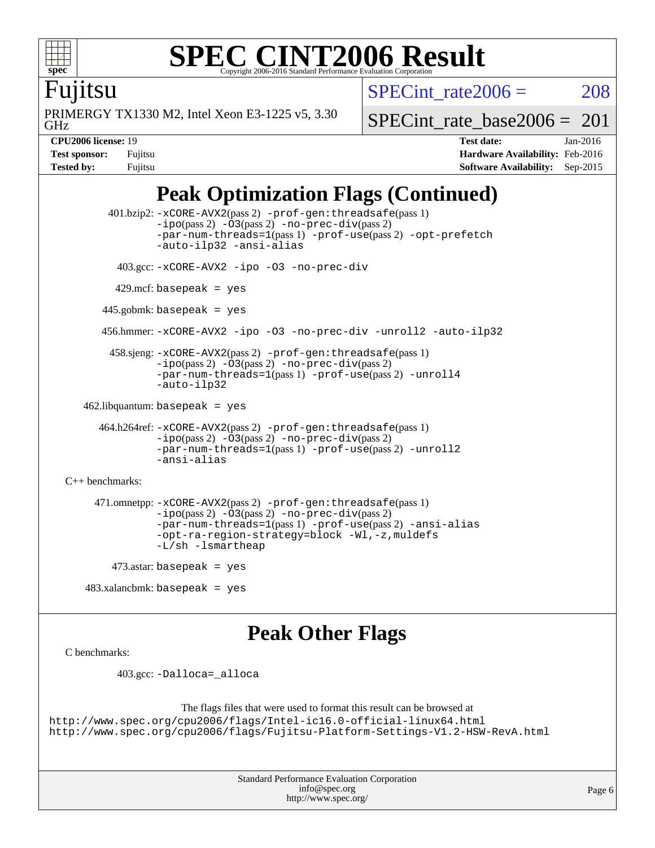

### **[SPEC CINT2006 Result](http://www.spec.org/auto/cpu2006/Docs/result-fields.html#SPECCINT2006Result)** Copyright 2006-2016 Standard Performance Evaluation C

SPECint rate $2006 = 208$ 

Fujitsu

GHz PRIMERGY TX1330 M2, Intel Xeon E3-1225 v5, 3.30 [SPECint\\_rate\\_base2006 =](http://www.spec.org/auto/cpu2006/Docs/result-fields.html#SPECintratebase2006)  $201$ 

**[Tested by:](http://www.spec.org/auto/cpu2006/Docs/result-fields.html#Testedby)** Fujitsu **[Software Availability:](http://www.spec.org/auto/cpu2006/Docs/result-fields.html#SoftwareAvailability)** Sep-2015

**[CPU2006 license:](http://www.spec.org/auto/cpu2006/Docs/result-fields.html#CPU2006license)** 19 **[Test date:](http://www.spec.org/auto/cpu2006/Docs/result-fields.html#Testdate)** Jan-2016 **[Test sponsor:](http://www.spec.org/auto/cpu2006/Docs/result-fields.html#Testsponsor)** Fujitsu **[Hardware Availability:](http://www.spec.org/auto/cpu2006/Docs/result-fields.html#HardwareAvailability)** Feb-2016

## **[Peak Optimization Flags \(Continued\)](http://www.spec.org/auto/cpu2006/Docs/result-fields.html#PeakOptimizationFlags)**

```
 401.bzip2: -xCORE-AVX2(pass 2) -prof-gen:threadsafe(pass 1)
               -no-prec-div(pass 2)-par-num-threads=1(pass 1) -prof-use(pass 2) -opt-prefetch
               -auto-ilp32 -ansi-alias
         403.gcc: -xCORE-AVX2 -ipo -O3 -no-prec-div
        429.mcf: basepeak = yes
       445.gobmk: basepeak = yes
       456.hmmer: -xCORE-AVX2 -ipo -O3 -no-prec-div -unroll2 -auto-ilp32
        458.sjeng: -xCORE-AVX2(pass 2) -prof-gen:threadsafe(pass 1)
               -ipo(pass 2) -O3(pass 2) -no-prec-div(pass 2)
               -par-num-threads=1(pass 1) -prof-use(pass 2) -unroll4
               -auto-ilp32
  462.libquantum: basepeak = yes
      464.h264ref: -xCORE-AVX2(pass 2) -prof-gen:threadsafe(pass 1)
               -no-prec-div(pass 2)-par-num-threads=1(pass 1) -prof-use(pass 2) -unroll2
               -ansi-alias
C++ benchmarks: 
     471.omnetpp: -xCORE-AVX2(pass 2) -prof-gen:threadsafe(pass 1)
               -no-prec-div(pass 2)-par-num-threads=1(pass 1) -prof-use(pass 2) -ansi-alias
               -opt-ra-region-strategy=block -Wl,-z,muldefs
               -L/sh -lsmartheap
       473.astar: basepeak = yes
```
483.xalancbmk: basepeak = yes

### **[Peak Other Flags](http://www.spec.org/auto/cpu2006/Docs/result-fields.html#PeakOtherFlags)**

```
C benchmarks:
```
403.gcc: [-Dalloca=\\_alloca](http://www.spec.org/cpu2006/results/res2016q1/cpu2006-20160125-38915.flags.html#b403.gcc_peakEXTRA_CFLAGS_Dalloca_be3056838c12de2578596ca5467af7f3)

```
The flags files that were used to format this result can be browsed at
http://www.spec.org/cpu2006/flags/Intel-ic16.0-official-linux64.html
http://www.spec.org/cpu2006/flags/Fujitsu-Platform-Settings-V1.2-HSW-RevA.html
```